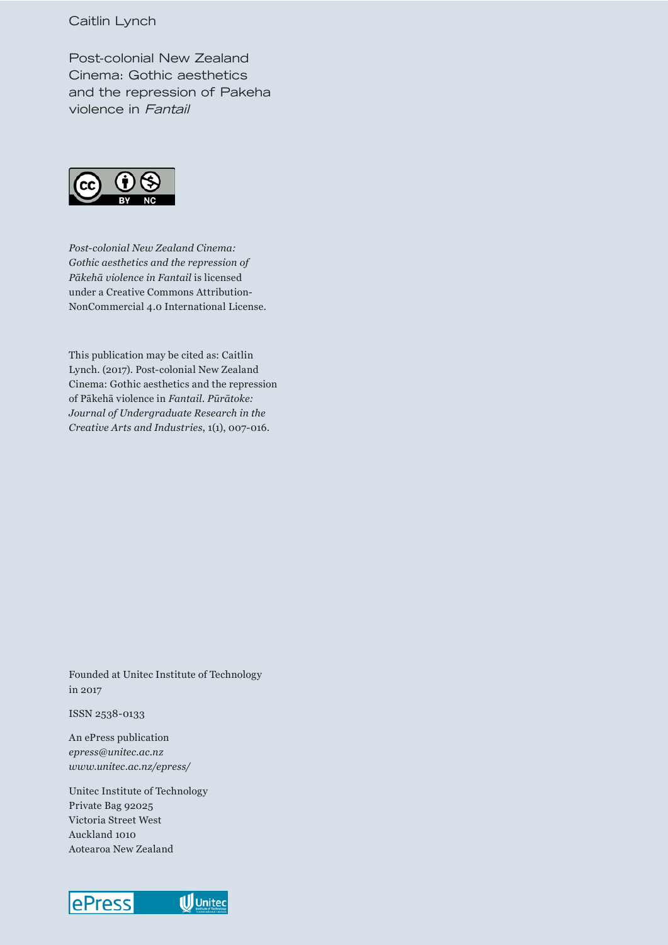## Caitlin Lynch

Post-colonial New Zealand Cinema: Gothic aesthetics and the repression of Pakeha violence in *Fantail*



*Post-colonial New Zealand Cinema: Gothic aesthetics and the repression of Pākehā violence in Fantail* is licensed under a Creative Commons Attribution-NonCommercial 4.0 International License.

This publication may be cited as: Caitlin Lynch. (2017). Post-colonial New Zealand Cinema: Gothic aesthetics and the repression of Pākehā violence in *Fantail*. *Pūrātoke: Journal of Undergraduate Research in the Creative Arts and Industries*, 1(1), 007-016.

Founded at Unitec Institute of Technology in 2017

ISSN 2538-0133

An ePress publication *epress@unitec.ac.nz www.unitec.ac.nz/epress/*

Unitec Institute of Technology Private Bag 92025 Victoria Street West Auckland 1010 Aotearoa New Zealand

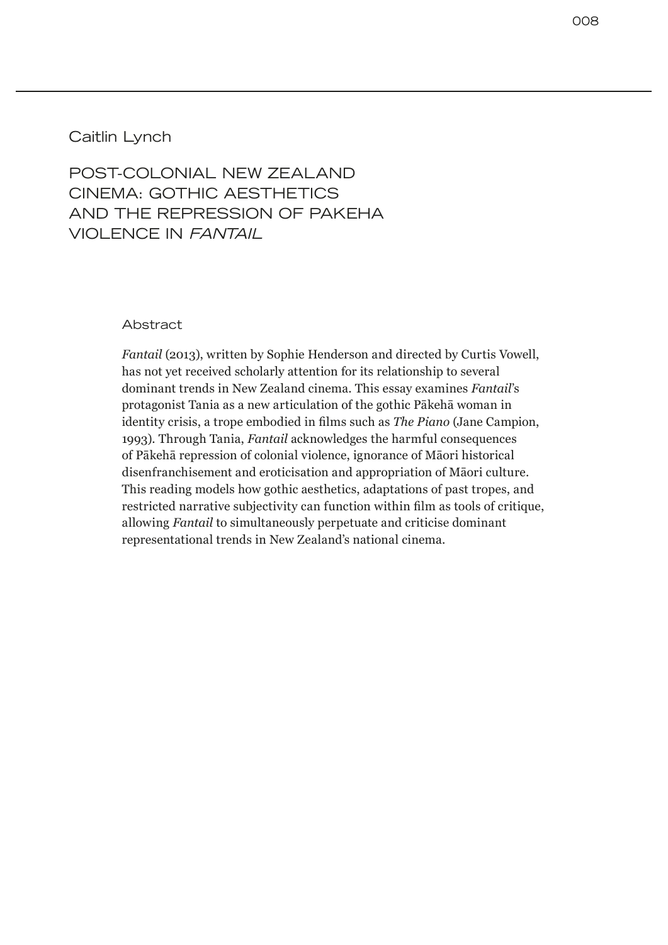## Caitlin Lynch

POST-COLONIAL NEW ZEALAND CINEMA: GOTHIC AESTHETICS AND THE REPRESSION OF PAKEHA VIOLENCE IN *FANTAIL*

Abstract

*Fantail* (2013), written by Sophie Henderson and directed by Curtis Vowell, has not yet received scholarly attention for its relationship to several dominant trends in New Zealand cinema. This essay examines *Fantail*'s protagonist Tania as a new articulation of the gothic Pākehā woman in identity crisis, a trope embodied in films such as *The Piano* (Jane Campion, 1993). Through Tania, *Fantail* acknowledges the harmful consequences of Pākehā repression of colonial violence, ignorance of Māori historical disenfranchisement and eroticisation and appropriation of Māori culture. This reading models how gothic aesthetics, adaptations of past tropes, and restricted narrative subjectivity can function within film as tools of critique, allowing *Fantail* to simultaneously perpetuate and criticise dominant representational trends in New Zealand's national cinema.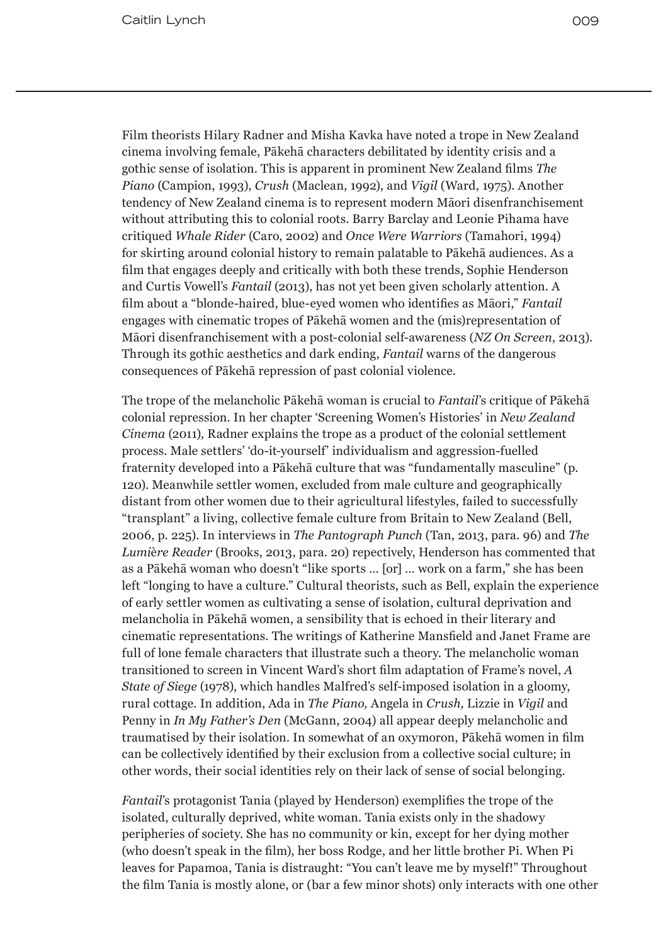Film theorists Hilary Radner and Misha Kavka have noted a trope in New Zealand cinema involving female, Pākehā characters debilitated by identity crisis and a gothic sense of isolation. This is apparent in prominent New Zealand films *The Piano* (Campion, 1993), *Crush* (Maclean, 1992), and *Vigil* (Ward, 1975). Another tendency of New Zealand cinema is to represent modern Māori disenfranchisement without attributing this to colonial roots. Barry Barclay and Leonie Pihama have critiqued *Whale Rider* (Caro, 2002) and *Once Were Warriors* (Tamahori, 1994) for skirting around colonial history to remain palatable to Pākehā audiences. As a film that engages deeply and critically with both these trends, Sophie Henderson and Curtis Vowell's *Fantail* (2013), has not yet been given scholarly attention. A film about a "blonde-haired, blue-eyed women who identifies as Māori," *Fantail* engages with cinematic tropes of Pākehā women and the (mis)representation of Māori disenfranchisement with a post-colonial self-awareness (*NZ On Screen*, 2013). Through its gothic aesthetics and dark ending, *Fantail* warns of the dangerous consequences of Pākehā repression of past colonial violence.

The trope of the melancholic Pākehā woman is crucial to *Fantail*'s critique of Pākehā colonial repression. In her chapter 'Screening Women's Histories' in *New Zealand Cinema* (2011)*,* Radner explains the trope as a product of the colonial settlement process. Male settlers' 'do-it-yourself' individualism and aggression-fuelled fraternity developed into a Pākehā culture that was "fundamentally masculine" (p. 120). Meanwhile settler women, excluded from male culture and geographically distant from other women due to their agricultural lifestyles, failed to successfully "transplant" a living, collective female culture from Britain to New Zealand (Bell, 2006, p. 225). In interviews in *The Pantograph Punch* (Tan, 2013, para. 96) and *The Lumi*è*re Reader* (Brooks, 2013, para. 20) repectively, Henderson has commented that as a Pākehā woman who doesn't "like sports … [or] … work on a farm," she has been left "longing to have a culture." Cultural theorists, such as Bell, explain the experience of early settler women as cultivating a sense of isolation, cultural deprivation and melancholia in Pākehā women, a sensibility that is echoed in their literary and cinematic representations. The writings of Katherine Mansfield and Janet Frame are full of lone female characters that illustrate such a theory. The melancholic woman transitioned to screen in Vincent Ward's short film adaptation of Frame's novel, *A State of Siege* (1978), which handles Malfred's self-imposed isolation in a gloomy, rural cottage. In addition, Ada in *The Piano,* Angela in *Crush,* Lizzie in *Vigil* and Penny in *In My Father's Den* (McGann, 2004) all appear deeply melancholic and traumatised by their isolation. In somewhat of an oxymoron, Pākehā women in film can be collectively identified by their exclusion from a collective social culture; in other words, their social identities rely on their lack of sense of social belonging.

*Fantail*'s protagonist Tania (played by Henderson) exemplifies the trope of the isolated, culturally deprived, white woman. Tania exists only in the shadowy peripheries of society. She has no community or kin, except for her dying mother (who doesn't speak in the film), her boss Rodge, and her little brother Pi. When Pi leaves for Papamoa, Tania is distraught: "You can't leave me by myself!" Throughout the film Tania is mostly alone, or (bar a few minor shots) only interacts with one other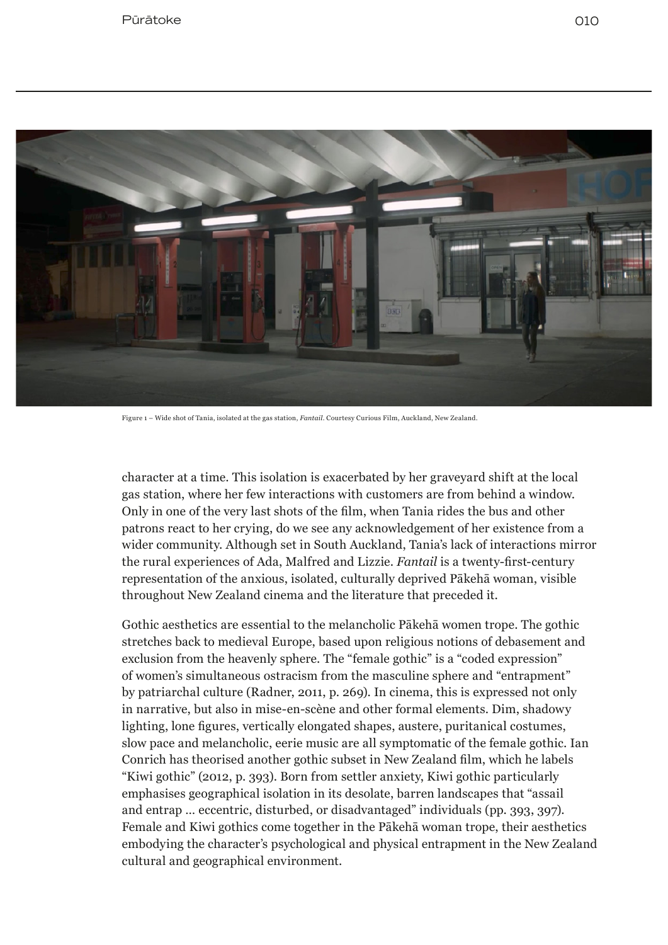

Figure 1 – Wide shot of Tania, isolated at the gas station, *Fantail.* Courtesy Curious Film, Auckland, New Zealand.

character at a time. This isolation is exacerbated by her graveyard shift at the local gas station, where her few interactions with customers are from behind a window. Only in one of the very last shots of the film, when Tania rides the bus and other patrons react to her crying, do we see any acknowledgement of her existence from a wider community. Although set in South Auckland, Tania's lack of interactions mirror the rural experiences of Ada, Malfred and Lizzie. *Fantail* is a twenty-first-century representation of the anxious, isolated, culturally deprived Pākehā woman, visible throughout New Zealand cinema and the literature that preceded it.

Gothic aesthetics are essential to the melancholic Pākehā women trope. The gothic stretches back to medieval Europe, based upon religious notions of debasement and exclusion from the heavenly sphere. The "female gothic" is a "coded expression" of women's simultaneous ostracism from the masculine sphere and "entrapment" by patriarchal culture (Radner, 2011, p. 269). In cinema, this is expressed not only in narrative, but also in mise-en-scène and other formal elements. Dim, shadowy lighting, lone figures, vertically elongated shapes, austere, puritanical costumes, slow pace and melancholic, eerie music are all symptomatic of the female gothic. Ian Conrich has theorised another gothic subset in New Zealand film, which he labels "Kiwi gothic" (2012, p. 393). Born from settler anxiety, Kiwi gothic particularly emphasises geographical isolation in its desolate, barren landscapes that "assail and entrap … eccentric, disturbed, or disadvantaged" individuals (pp. 393, 397). Female and Kiwi gothics come together in the Pākehā woman trope, their aesthetics embodying the character's psychological and physical entrapment in the New Zealand cultural and geographical environment.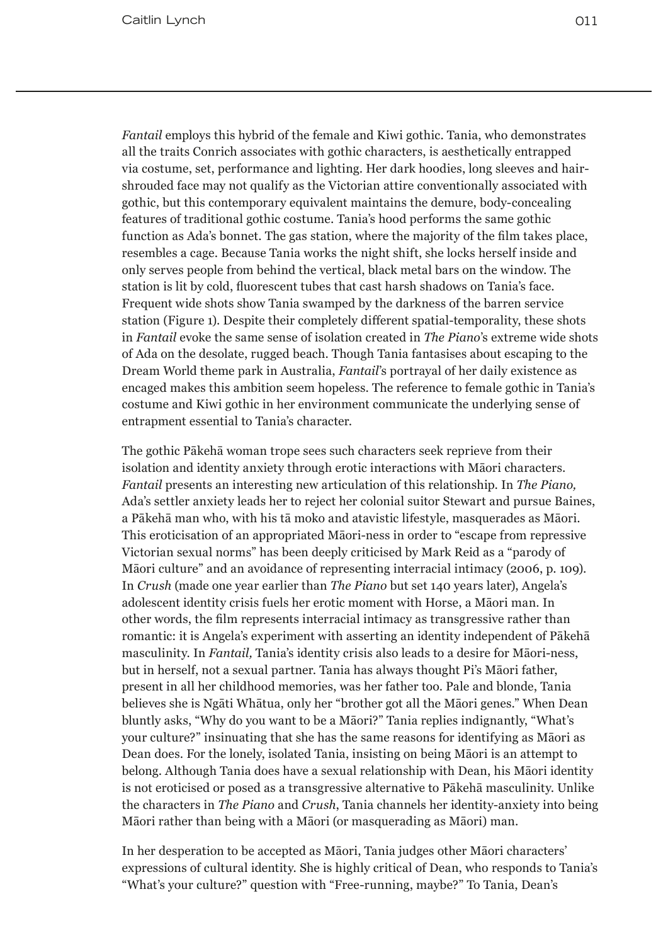*Fantail* employs this hybrid of the female and Kiwi gothic. Tania, who demonstrates all the traits Conrich associates with gothic characters, is aesthetically entrapped via costume, set, performance and lighting. Her dark hoodies, long sleeves and hairshrouded face may not qualify as the Victorian attire conventionally associated with gothic, but this contemporary equivalent maintains the demure, body-concealing features of traditional gothic costume. Tania's hood performs the same gothic function as Ada's bonnet. The gas station, where the majority of the film takes place, resembles a cage. Because Tania works the night shift, she locks herself inside and only serves people from behind the vertical, black metal bars on the window. The station is lit by cold, fluorescent tubes that cast harsh shadows on Tania's face. Frequent wide shots show Tania swamped by the darkness of the barren service station (Figure 1). Despite their completely different spatial-temporality, these shots in *Fantail* evoke the same sense of isolation created in *The Piano*'s extreme wide shots of Ada on the desolate, rugged beach. Though Tania fantasises about escaping to the Dream World theme park in Australia, *Fantail*'s portrayal of her daily existence as encaged makes this ambition seem hopeless. The reference to female gothic in Tania's costume and Kiwi gothic in her environment communicate the underlying sense of entrapment essential to Tania's character.

The gothic Pākehā woman trope sees such characters seek reprieve from their isolation and identity anxiety through erotic interactions with Māori characters. *Fantail* presents an interesting new articulation of this relationship. In *The Piano,*  Ada's settler anxiety leads her to reject her colonial suitor Stewart and pursue Baines, a Pākehā man who, with his tā moko and atavistic lifestyle, masquerades as Māori. This eroticisation of an appropriated Māori-ness in order to "escape from repressive Victorian sexual norms" has been deeply criticised by Mark Reid as a "parody of Māori culture" and an avoidance of representing interracial intimacy (2006, p. 109). In *Crush* (made one year earlier than *The Piano* but set 140 years later), Angela's adolescent identity crisis fuels her erotic moment with Horse, a Māori man. In other words, the film represents interracial intimacy as transgressive rather than romantic: it is Angela's experiment with asserting an identity independent of Pākehā masculinity. In *Fantail,* Tania's identity crisis also leads to a desire for Māori-ness, but in herself, not a sexual partner. Tania has always thought Pi's Māori father, present in all her childhood memories, was her father too. Pale and blonde, Tania believes she is Ngāti Whātua, only her "brother got all the Māori genes." When Dean bluntly asks, "Why do you want to be a Māori?" Tania replies indignantly, "What's your culture?" insinuating that she has the same reasons for identifying as Māori as Dean does. For the lonely, isolated Tania, insisting on being Māori is an attempt to belong. Although Tania does have a sexual relationship with Dean, his Māori identity is not eroticised or posed as a transgressive alternative to Pākehā masculinity. Unlike the characters in *The Piano* and *Crush*, Tania channels her identity-anxiety into being Māori rather than being with a Māori (or masquerading as Māori) man.

In her desperation to be accepted as Māori, Tania judges other Māori characters' expressions of cultural identity. She is highly critical of Dean, who responds to Tania's "What's your culture?" question with "Free-running, maybe?" To Tania, Dean's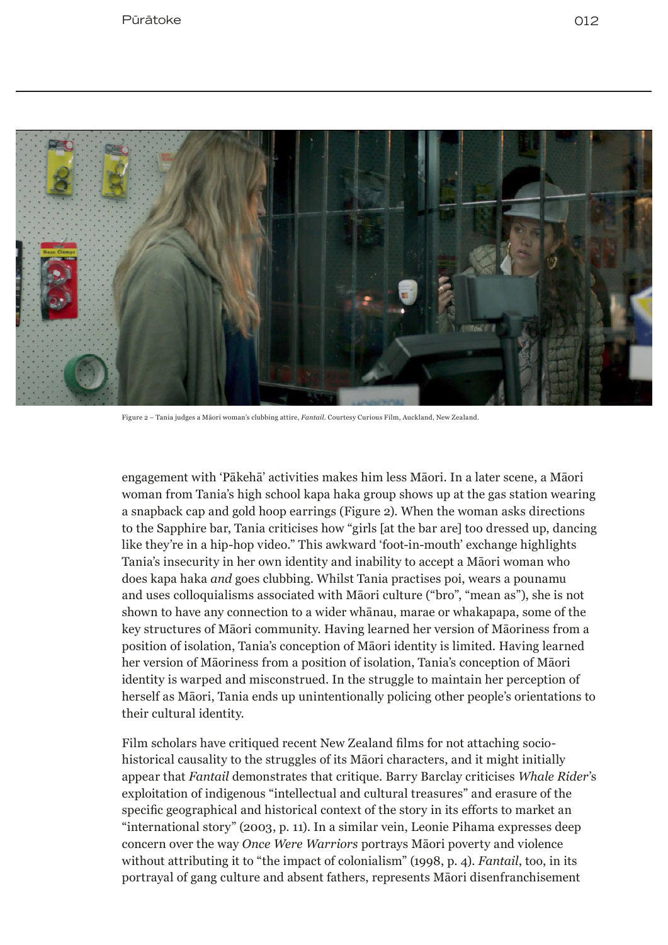

Figure 2 – Tania judges a Māori woman's clubbing attire, *Fantail.* Courtesy Curious Film, Auckland, New Zealand.

engagement with 'Pākehā' activities makes him less Māori. In a later scene, a Māori woman from Tania's high school kapa haka group shows up at the gas station wearing a snapback cap and gold hoop earrings (Figure 2). When the woman asks directions to the Sapphire bar, Tania criticises how "girls [at the bar are] too dressed up, dancing like they're in a hip-hop video." This awkward 'foot-in-mouth' exchange highlights Tania's insecurity in her own identity and inability to accept a Māori woman who does kapa haka *and* goes clubbing. Whilst Tania practises poi, wears a pounamu and uses colloquialisms associated with Māori culture ("bro", "mean as"), she is not shown to have any connection to a wider whānau, marae or whakapapa, some of the key structures of Māori community. Having learned her version of Māoriness from a position of isolation, Tania's conception of Māori identity is limited. Having learned her version of Māoriness from a position of isolation, Tania's conception of Māori identity is warped and misconstrued. In the struggle to maintain her perception of herself as Māori, Tania ends up unintentionally policing other people's orientations to their cultural identity.

Film scholars have critiqued recent New Zealand films for not attaching sociohistorical causality to the struggles of its Māori characters, and it might initially appear that *Fantail* demonstrates that critique. Barry Barclay criticises *Whale Rider*'s exploitation of indigenous "intellectual and cultural treasures" and erasure of the specific geographical and historical context of the story in its efforts to market an "international story" (2003, p. 11). In a similar vein, Leonie Pihama expresses deep concern over the way *Once Were Warriors* portrays Māori poverty and violence without attributing it to "the impact of colonialism" (1998, p. 4). *Fantail*, too, in its portrayal of gang culture and absent fathers, represents Māori disenfranchisement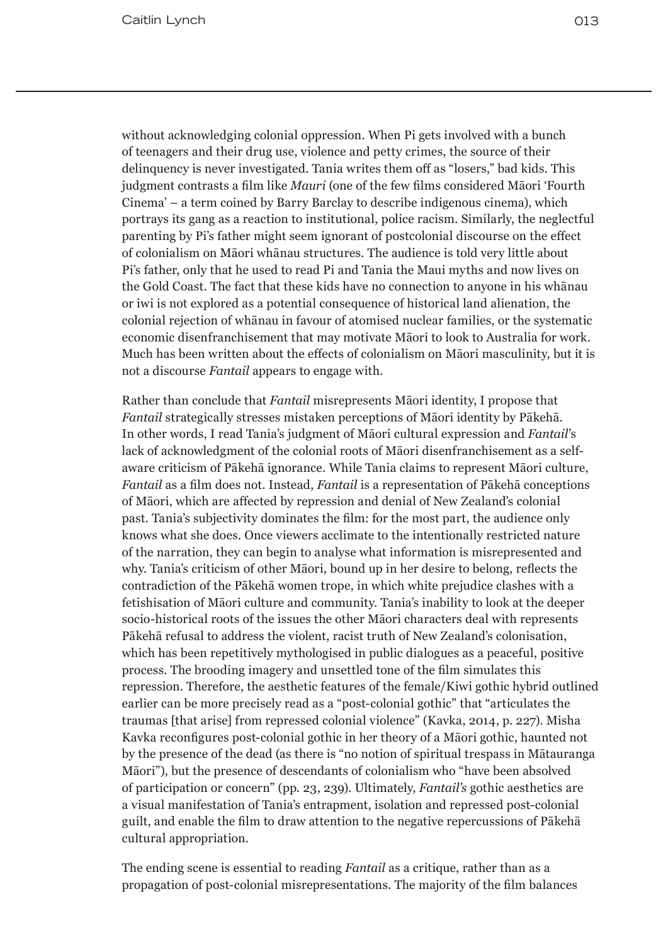without acknowledging colonial oppression. When Pi gets involved with a bunch of teenagers and their drug use, violence and petty crimes, the source of their delinquency is never investigated. Tania writes them off as "losers," bad kids. This judgment contrasts a film like *Mauri* (one of the few films considered Māori 'Fourth Cinema' – a term coined by Barry Barclay to describe indigenous cinema), which portrays its gang as a reaction to institutional, police racism. Similarly, the neglectful parenting by Pi's father might seem ignorant of postcolonial discourse on the effect of colonialism on Māori whānau structures. The audience is told very little about Pi's father, only that he used to read Pi and Tania the Maui myths and now lives on the Gold Coast. The fact that these kids have no connection to anyone in his whānau or iwi is not explored as a potential consequence of historical land alienation, the colonial rejection of whānau in favour of atomised nuclear families, or the systematic economic disenfranchisement that may motivate Māori to look to Australia for work. Much has been written about the effects of colonialism on Māori masculinity, but it is not a discourse *Fantail* appears to engage with.

Rather than conclude that *Fantail* misrepresents Māori identity, I propose that *Fantail* strategically stresses mistaken perceptions of Māori identity by Pākehā. In other words, I read Tania's judgment of Māori cultural expression and *Fantail*'s lack of acknowledgment of the colonial roots of Māori disenfranchisement as a selfaware criticism of Pākehā ignorance. While Tania claims to represent Māori culture, *Fantail* as a film does not. Instead, *Fantail* is a representation of Pākehā conceptions of Māori, which are affected by repression and denial of New Zealand's colonial past. Tania's subjectivity dominates the film: for the most part, the audience only knows what she does. Once viewers acclimate to the intentionally restricted nature of the narration, they can begin to analyse what information is misrepresented and why. Tania's criticism of other Māori, bound up in her desire to belong, reflects the contradiction of the Pākehā women trope, in which white prejudice clashes with a fetishisation of Māori culture and community. Tania's inability to look at the deeper socio-historical roots of the issues the other Māori characters deal with represents Pākehā refusal to address the violent, racist truth of New Zealand's colonisation, which has been repetitively mythologised in public dialogues as a peaceful, positive process. The brooding imagery and unsettled tone of the film simulates this repression. Therefore, the aesthetic features of the female/Kiwi gothic hybrid outlined earlier can be more precisely read as a "post-colonial gothic" that "articulates the traumas [that arise] from repressed colonial violence" (Kavka, 2014, p. 227). Misha Kavka reconfigures post-colonial gothic in her theory of a Māori gothic, haunted not by the presence of the dead (as there is "no notion of spiritual trespass in Mātauranga Māori"), but the presence of descendants of colonialism who "have been absolved of participation or concern" (pp. 23, 239). Ultimately, *Fantail's* gothic aesthetics are a visual manifestation of Tania's entrapment, isolation and repressed post-colonial guilt, and enable the film to draw attention to the negative repercussions of Pākehā cultural appropriation.

The ending scene is essential to reading *Fantail* as a critique, rather than as a propagation of post-colonial misrepresentations. The majority of the film balances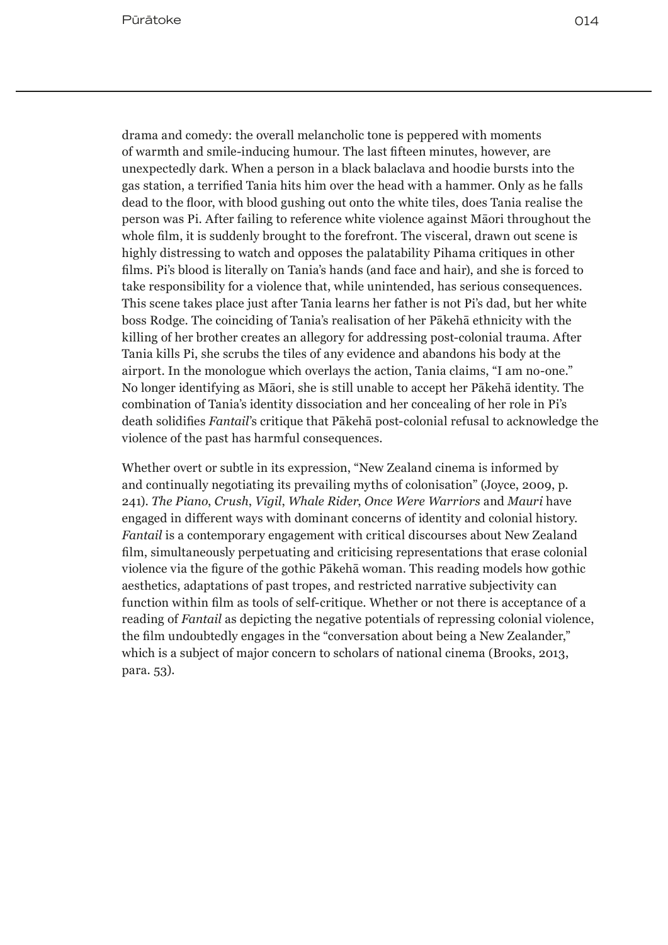drama and comedy: the overall melancholic tone is peppered with moments of warmth and smile-inducing humour. The last fifteen minutes, however, are unexpectedly dark. When a person in a black balaclava and hoodie bursts into the gas station, a terrified Tania hits him over the head with a hammer. Only as he falls dead to the floor, with blood gushing out onto the white tiles, does Tania realise the person was Pi. After failing to reference white violence against Māori throughout the whole film, it is suddenly brought to the forefront. The visceral, drawn out scene is highly distressing to watch and opposes the palatability Pihama critiques in other films. Pi's blood is literally on Tania's hands (and face and hair), and she is forced to take responsibility for a violence that, while unintended, has serious consequences. This scene takes place just after Tania learns her father is not Pi's dad, but her white boss Rodge. The coinciding of Tania's realisation of her Pākehā ethnicity with the killing of her brother creates an allegory for addressing post-colonial trauma. After Tania kills Pi, she scrubs the tiles of any evidence and abandons his body at the airport. In the monologue which overlays the action, Tania claims, "I am no-one." No longer identifying as Māori, she is still unable to accept her Pākehā identity. The combination of Tania's identity dissociation and her concealing of her role in Pi's death solidifies *Fantail*'s critique that Pākehā post-colonial refusal to acknowledge the violence of the past has harmful consequences.

Whether overt or subtle in its expression, "New Zealand cinema is informed by and continually negotiating its prevailing myths of colonisation" (Joyce, 2009, p. 241). *The Piano*, *Crush*, *Vigil*, *Whale Rider*, *Once Were Warriors* and *Mauri* have engaged in different ways with dominant concerns of identity and colonial history. *Fantail* is a contemporary engagement with critical discourses about New Zealand film, simultaneously perpetuating and criticising representations that erase colonial violence via the figure of the gothic Pākehā woman. This reading models how gothic aesthetics, adaptations of past tropes, and restricted narrative subjectivity can function within film as tools of self-critique. Whether or not there is acceptance of a reading of *Fantail* as depicting the negative potentials of repressing colonial violence, the film undoubtedly engages in the "conversation about being a New Zealander," which is a subject of major concern to scholars of national cinema (Brooks, 2013, para. 53).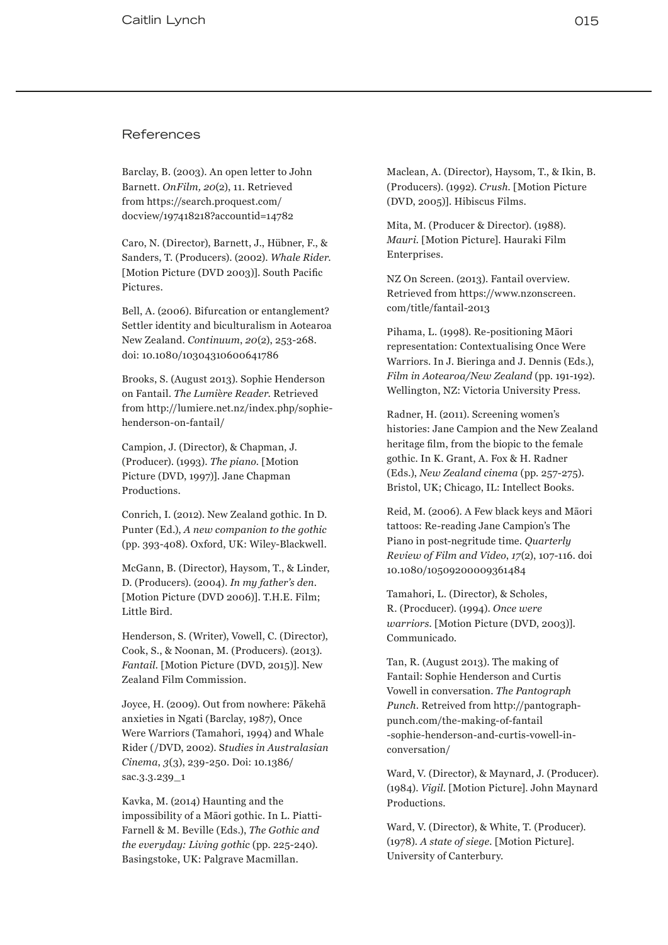## References

Barclay, B. (2003). An open letter to John Barnett. *OnFilm, 20*(2), 11. Retrieved from https://search.proquest.com/ docview/197418218?accountid=14782

Caro, N. (Director), Barnett, J., Hübner, F., & Sanders, T. (Producers). (2002). *Whale Rider*. [Motion Picture (DVD 2003)]. South Pacific Pictures.

Bell, A. (2006). Bifurcation or entanglement? Settler identity and biculturalism in Aotearoa New Zealand. *Continuum*, *20*(2), 253-268. doi: 10.1080/10304310600641786

Brooks, S. (August 2013). Sophie Henderson on Fantail. *The Lumi*è*re Reader*. Retrieved from http://lumiere.net.nz/index.php/sophiehenderson-on-fantail/

Campion, J. (Director), & Chapman, J. (Producer). (1993). *The piano.* [Motion Picture (DVD, 1997)]. Jane Chapman Productions.

Conrich, I. (2012). New Zealand gothic. In D. Punter (Ed.), *A new companion to the gothic*  (pp. 393-408). Oxford, UK: Wiley-Blackwell.

McGann, B. (Director), Haysom, T., & Linder, D. (Producers). (2004). *In my father's den.*  [Motion Picture (DVD 2006)]. T.H.E. Film; Little Bird.

Henderson, S. (Writer), Vowell, C. (Director), Cook, S., & Noonan, M. (Producers). (2013). *Fantail.* [Motion Picture (DVD, 2015)]. New Zealand Film Commission.

Joyce, H. (2009). Out from nowhere: Pākehā anxieties in Ngati (Barclay, 1987), Once Were Warriors (Tamahori, 1994) and Whale Rider (/DVD, 2002). S*tudies in Australasian Cinema*, *3*(3), 239-250. Doi: 10.1386/ sac.3.3.239\_1

Kavka, M. (2014) Haunting and the impossibility of a Māori gothic. In L. Piatti-Farnell & M. Beville (Eds.), *The Gothic and the everyday: Living gothic* (pp. 225-240)*.*  Basingstoke, UK: Palgrave Macmillan.

Maclean, A. (Director), Haysom, T., & Ikin, B. (Producers). (1992). *Crush.* [Motion Picture (DVD, 2005)]. Hibiscus Films.

Mita, M. (Producer & Director). (1988). *Mauri.* [Motion Picture]. Hauraki Film Enterprises.

NZ On Screen. (2013). Fantail overview. Retrieved from https://www.nzonscreen. com/title/fantail-2013

Pihama, L. (1998). Re-positioning Māori representation: Contextualising Once Were Warriors. In J. Bieringa and J. Dennis (Eds.), *Film in Aotearoa/New Zealand* (pp. 191-192)*.*  Wellington, NZ: Victoria University Press.

Radner, H. (2011). Screening women's histories: Jane Campion and the New Zealand heritage film, from the biopic to the female gothic. In K. Grant, A. Fox & H. Radner (Eds.), *New Zealand cinema* (pp*.* 257-275). Bristol, UK; Chicago, IL: Intellect Books.

Reid, M. (2006). A Few black keys and Māori tattoos: Re-reading Jane Campion's The Piano in post-negritude time. *Quarterly Review of Film and Video*, *17*(2), 107-116. doi 10.1080/10509200009361484

Tamahori, L. (Director), & Scholes, R. (Procducer). (1994). *Once were warriors.* [Motion Picture (DVD, 2003)]. Communicado.

Tan, R. (August 2013). The making of Fantail: Sophie Henderson and Curtis Vowell in conversation. *The Pantograph Punch*. Retreived from http://pantographpunch.com/the-making-of-fantail -sophie-henderson-and-curtis-vowell-inconversation/

Ward, V. (Director), & Maynard, J. (Producer). (1984). *Vigil.* [Motion Picture]. John Maynard Productions.

Ward, V. (Director), & White, T. (Producer). (1978). *A state of siege.* [Motion Picture]. University of Canterbury.